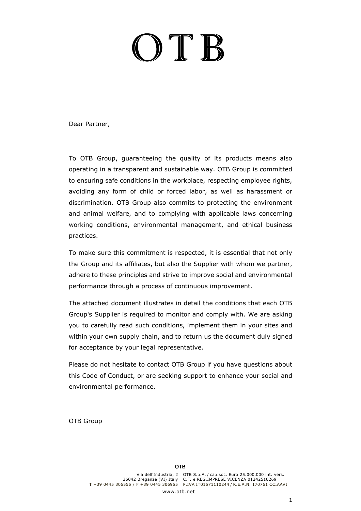# $O$  T  $B$

Dear Partner,

To OTB Group, guaranteeing the quality of its products means also operating in a transparent and sustainable way. OTB Group is committed to ensuring safe conditions in the workplace, respecting employee rights, avoiding any form of child or forced labor, as well as harassment or discrimination. OTB Group also commits to protecting the environment and animal welfare, and to complying with applicable laws concerning working conditions, environmental management, and ethical business practices.

To make sure this commitment is respected, it is essential that not only the Group and its affiliates, but also the Supplier with whom we partner, adhere to these principles and strive to improve social and environmental performance through a process of continuous improvement.

The attached document illustrates in detail the conditions that each OTB Group's Supplier is required to monitor and comply with. We are asking you to carefully read such conditions, implement them in your sites and within your own supply chain, and to return us the document duly signed for acceptance by your legal representative.

Please do not hesitate to contact OTB Group if you have questions about this Code of Conduct, or are seeking support to enhance your social and environmental performance.

OTB Group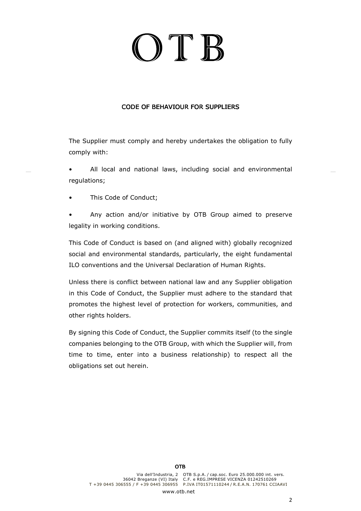# ITE

## CODE OF BEHAVIOUR FOR SUPPLIERS

The Supplier must comply and hereby undertakes the obligation to fully comply with:

- All local and national laws, including social and environmental regulations;
- This Code of Conduct:

Any action and/or initiative by OTB Group aimed to preserve legality in working conditions.

This Code of Conduct is based on (and aligned with) globally recognized social and environmental standards, particularly, the eight fundamental ILO conventions and the Universal Declaration of Human Rights.

Unless there is conflict between national law and any Supplier obligation in this Code of Conduct, the Supplier must adhere to the standard that promotes the highest level of protection for workers, communities, and other rights holders.

By signing this Code of Conduct, the Supplier commits itself (to the single companies belonging to the OTB Group, with which the Supplier will, from time to time, enter into a business relationship) to respect all the obligations set out herein.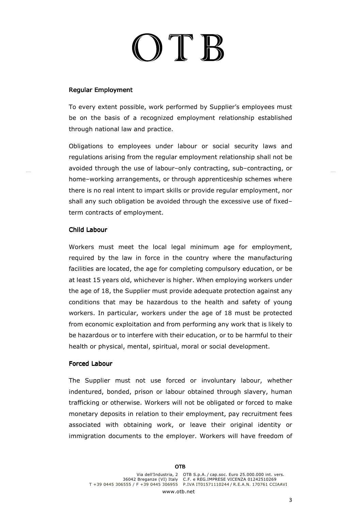## $\sum_{i=1}^{n}$

### **Regular Employment**

To every extent possible, work performed by Supplier's employees must be on the basis of a recognized employment relationship established through national law and practice.

Obligations to employees under labour or social security laws and regulations arising from the regular employment relationship shall not be avoided through the use of labour–only contracting, sub–contracting, or home–working arrangements, or through apprenticeship schemes where there is no real intent to impart skills or provide regular employment, nor shall any such obligation be avoided through the excessive use of fixed– term contracts of employment.

#### Child Labour

Workers must meet the local legal minimum age for employment, required by the law in force in the country where the manufacturing facilities are located, the age for completing compulsory education, or be at least 15 years old, whichever is higher. When employing workers under the age of 18, the Supplier must provide adequate protection against any conditions that may be hazardous to the health and safety of young workers. In particular, workers under the age of 18 must be protected from economic exploitation and from performing any work that is likely to be hazardous or to interfere with their education, or to be harmful to their health or physical, mental, spiritual, moral or social development.

#### Forced Labour

The Supplier must not use forced or involuntary labour, whether indentured, bonded, prison or labour obtained through slavery, human trafficking or otherwise. Workers will not be obligated or forced to make monetary deposits in relation to their employment, pay recruitment fees associated with obtaining work, or leave their original identity or immigration documents to the employer. Workers will have freedom of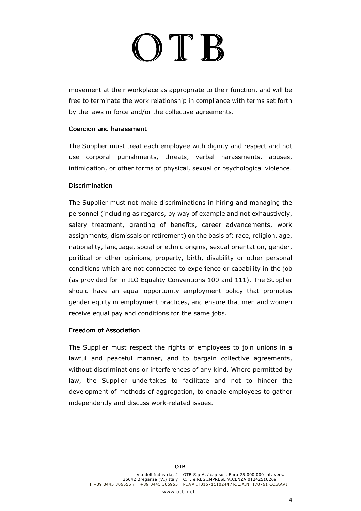# JTE

movement at their workplace as appropriate to their function, and will be free to terminate the work relationship in compliance with terms set forth by the laws in force and/or the collective agreements.

#### Coercion and harassment

The Supplier must treat each employee with dignity and respect and not use corporal punishments, threats, verbal harassments, abuses, intimidation, or other forms of physical, sexual or psychological violence.

#### **Discrimination**

The Supplier must not make discriminations in hiring and managing the personnel (including as regards, by way of example and not exhaustively, salary treatment, granting of benefits, career advancements, work assignments, dismissals or retirement) on the basis of: race, religion, age, nationality, language, social or ethnic origins, sexual orientation, gender, political or other opinions, property, birth, disability or other personal conditions which are not connected to experience or capability in the job (as provided for in ILO Equality Conventions 100 and 111). The Supplier should have an equal opportunity employment policy that promotes gender equity in employment practices, and ensure that men and women receive equal pay and conditions for the same jobs.

## Freedom of Association

The Supplier must respect the rights of employees to join unions in a lawful and peaceful manner, and to bargain collective agreements, without discriminations or interferences of any kind. Where permitted by law, the Supplier undertakes to facilitate and not to hinder the development of methods of aggregation, to enable employees to gather independently and discuss work-related issues.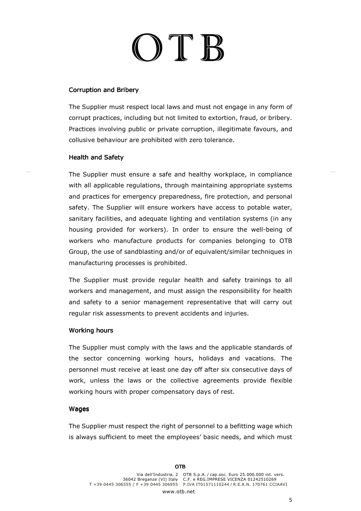# OTB

### Corruption and Bribery

The Supplier must respect local laws and must not engage in any form of corrupt practices, including but not limited to extortion, fraud, or bribery. Practices involving public or private corruption, illegitimate favours, and collusive behaviour are prohibited with zero tolerance.

#### Health and Safety

The Supplier must ensure a safe and healthy workplace, in compliance with all applicable regulations, through maintaining appropriate systems and practices for emergency preparedness, fire protection, and personal safety. The Supplier will ensure workers have access to potable water, sanitary facilities, and adequate lighting and ventilation systems (in any housing provided for workers). In order to ensure the well-being of workers who manufacture products for companies belonging to OTB Group, the use of sandblasting and/or of equivalent/similar techniques in manufacturing processes is prohibited.

The Supplier must provide regular health and safety trainings to all workers and management, and must assign the responsibility for health and safety to a senior management representative that will carry out regular risk assessments to prevent accidents and injuries.

#### Working hours

The Supplier must comply with the laws and the applicable standards of the sector concerning working hours, holidays and vacations. The personnel must receive at least one day off after six consecutive days of work, unless the laws or the collective agreements provide flexible working hours with proper compensatory days of rest.

#### **Wages**

The Supplier must respect the right of personnel to a befitting wage which is always sufficient to meet the employees' basic needs, and which must

5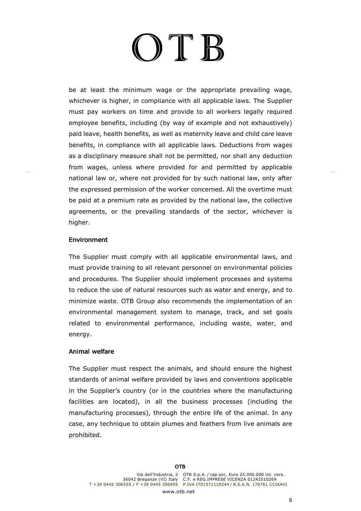# $\Gamma$

be at least the minimum wage or the appropriate prevailing wage, whichever is higher, in compliance with all applicable laws. The Supplier must pay workers on time and provide to all workers legally required employee benefits, including (by way of example and not exhaustively) paid leave, health benefits, as well as maternity leave and child care leave benefits, in compliance with all applicable laws. Deductions from wages as a disciplinary measure shall not be permitted, nor shall any deduction from wages, unless where provided for and permitted by applicable national law or, where not provided for by such national law, only after the expressed permission of the worker concerned. All the overtime must be paid at a premium rate as provided by the national law, the collective agreements, or the prevailing standards of the sector, whichever is higher.

#### **Environment**

The Supplier must comply with all applicable environmental laws, and must provide training to all relevant personnel on environmental policies and procedures. The Supplier should implement processes and systems to reduce the use of natural resources such as water and energy, and to minimize waste. OTB Group also recommends the implementation of an environmental management system to manage, track, and set goals related to environmental performance, including waste, water, and energy.

## Animal welfare

The Supplier must respect the animals, and should ensure the highest standards of animal welfare provided by laws and conventions applicable in the Supplier's country (or in the countries where the manufacturing facilities are located), in all the business processes (including the manufacturing processes), through the entire life of the animal. In any case, any technique to obtain plumes and feathers from live animals are prohibited.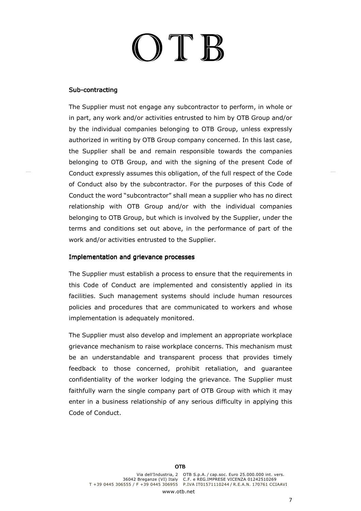# OT B

#### Sub-contracting

The Supplier must not engage any subcontractor to perform, in whole or in part, any work and/or activities entrusted to him by OTB Group and/or by the individual companies belonging to OTB Group, unless expressly authorized in writing by OTB Group company concerned. In this last case, the Supplier shall be and remain responsible towards the companies belonging to OTB Group, and with the signing of the present Code of Conduct expressly assumes this obligation, of the full respect of the Code of Conduct also by the subcontractor. For the purposes of this Code of Conduct the word "subcontractor" shall mean a supplier who has no direct relationship with OTB Group and/or with the individual companies belonging to OTB Group, but which is involved by the Supplier, under the terms and conditions set out above, in the performance of part of the work and/or activities entrusted to the Supplier.

#### Implementation and grievance processes

The Supplier must establish a process to ensure that the requirements in this Code of Conduct are implemented and consistently applied in its facilities. Such management systems should include human resources policies and procedures that are communicated to workers and whose implementation is adequately monitored.

The Supplier must also develop and implement an appropriate workplace grievance mechanism to raise workplace concerns. This mechanism must be an understandable and transparent process that provides timely feedback to those concerned, prohibit retaliation, and guarantee confidentiality of the worker lodging the grievance. The Supplier must faithfully warn the single company part of OTB Group with which it may enter in a business relationship of any serious difficulty in applying this Code of Conduct.

www.oth.net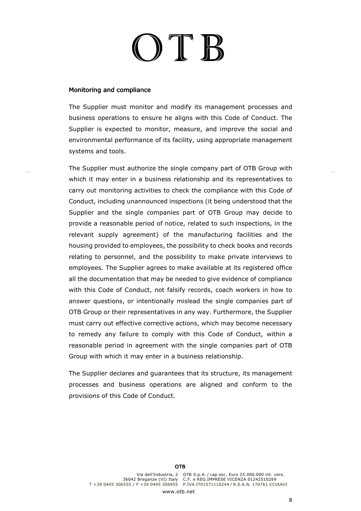## OTEB

#### Monitoring and compliance

The Supplier must monitor and modify its management processes and business operations to ensure he aligns with this Code of Conduct. The Supplier is expected to monitor, measure, and improve the social and environmental performance of its facility, using appropriate management systems and tools.

The Supplier must authorize the single company part of OTB Group with which it may enter in a business relationship and its representatives to carry out monitoring activities to check the compliance with this Code of Conduct, including unannounced inspections (it being understood that the Supplier and the single companies part of OTB Group may decide to provide a reasonable period of notice, related to such inspections, in the relevant supply agreement) of the manufacturing facilities and the housing provided to employees, the possibility to check books and records relating to personnel, and the possibility to make private interviews to employees. The Supplier agrees to make available at its registered office all the documentation that may be needed to give evidence of compliance with this Code of Conduct, not falsify records, coach workers in how to answer questions, or intentionally mislead the single companies part of OTB Group or their representatives in any way. Furthermore, the Supplier must carry out effective corrective actions, which may become necessary to remedy any failure to comply with this Code of Conduct, within a reasonable period in agreement with the single companies part of OTB Group with which it may enter in a business relationship.

The Supplier declares and guarantees that its structure, its management processes and business operations are aligned and conform to the provisions of this Code of Conduct.